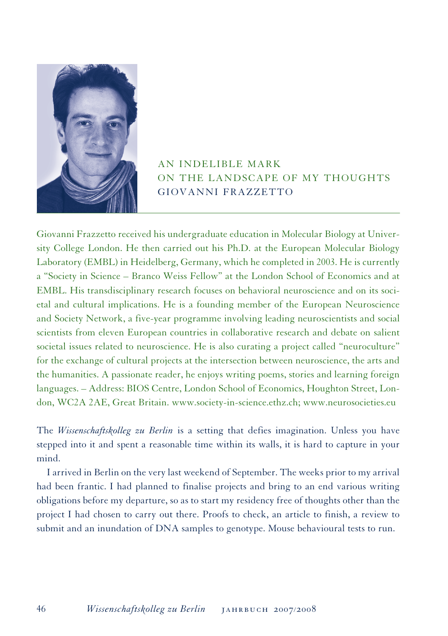

## AN INDELIBLE MARK ON THE LANDSCAPE OF MY THOUGHTS GIOVANNI FRAZZETTO

Giovanni Frazzetto received his undergraduate education in Molecular Biology at University College London. He then carried out his Ph.D. at the European Molecular Biology Laboratory (EMBL) in Heidelberg, Germany, which he completed in 2003. He is currently a "Society in Science – Branco Weiss Fellow" at the London School of Economics and at EMBL. His transdisciplinary research focuses on behavioral neuroscience and on its societal and cultural implications. He is a founding member of the European Neuroscience and Society Network, a five-year programme involving leading neuroscientists and social scientists from eleven European countries in collaborative research and debate on salient societal issues related to neuroscience. He is also curating a project called "neuroculture" for the exchange of cultural projects at the intersection between neuroscience, the arts and the humanities. A passionate reader, he enjoys writing poems, stories and learning foreign languages. – Address: BIOS Centre, London School of Economics, Houghton Street, London, WC2A 2AE, Great Britain. www.society-in-science.ethz.ch; www.neurosocieties.eu

The *Wissenschaftskolleg zu Berlin* is a setting that defies imagination. Unless you have stepped into it and spent a reasonable time within its walls, it is hard to capture in your mind.

I arrived in Berlin on the very last weekend of September. The weeks prior to my arrival had been frantic. I had planned to finalise projects and bring to an end various writing obligations before my departure, so as to start my residency free of thoughts other than the project I had chosen to carry out there. Proofs to check, an article to finish, a review to submit and an inundation of DNA samples to genotype. Mouse behavioural tests to run.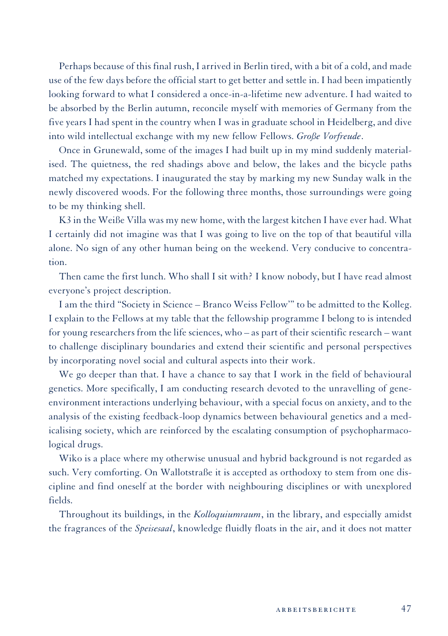Perhaps because of this final rush, I arrived in Berlin tired, with a bit of a cold, and made use of the few days before the official start to get better and settle in. I had been impatiently looking forward to what I considered a once-in-a-lifetime new adventure. I had waited to be absorbed by the Berlin autumn, reconcile myself with memories of Germany from the five years I had spent in the country when I was in graduate school in Heidelberg, and dive into wild intellectual exchange with my new fellow Fellows. *Große Vorfreude*.

Once in Grunewald, some of the images I had built up in my mind suddenly materialised. The quietness, the red shadings above and below, the lakes and the bicycle paths matched my expectations. I inaugurated the stay by marking my new Sunday walk in the newly discovered woods. For the following three months, those surroundings were going to be my thinking shell.

K3 in the Weiße Villa was my new home, with the largest kitchen I have ever had. What I certainly did not imagine was that I was going to live on the top of that beautiful villa alone. No sign of any other human being on the weekend. Very conducive to concentration.

Then came the first lunch. Who shall I sit with? I know nobody, but I have read almost everyone's project description.

I am the third "Society in Science – Branco Weiss Fellow'" to be admitted to the Kolleg. I explain to the Fellows at my table that the fellowship programme I belong to is intended for young researchers from the life sciences, who – as part of their scientific research – want to challenge disciplinary boundaries and extend their scientific and personal perspectives by incorporating novel social and cultural aspects into their work.

We go deeper than that. I have a chance to say that I work in the field of behavioural genetics. More specifically, I am conducting research devoted to the unravelling of geneenvironment interactions underlying behaviour, with a special focus on anxiety, and to the analysis of the existing feedback-loop dynamics between behavioural genetics and a medicalising society, which are reinforced by the escalating consumption of psychopharmacological drugs.

Wiko is a place where my otherwise unusual and hybrid background is not regarded as such. Very comforting. On Wallotstraße it is accepted as orthodoxy to stem from one discipline and find oneself at the border with neighbouring disciplines or with unexplored fields.

Throughout its buildings, in the *Kolloquiumraum*, in the library, and especially amidst the fragrances of the *Speisesaal*, knowledge fluidly floats in the air, and it does not matter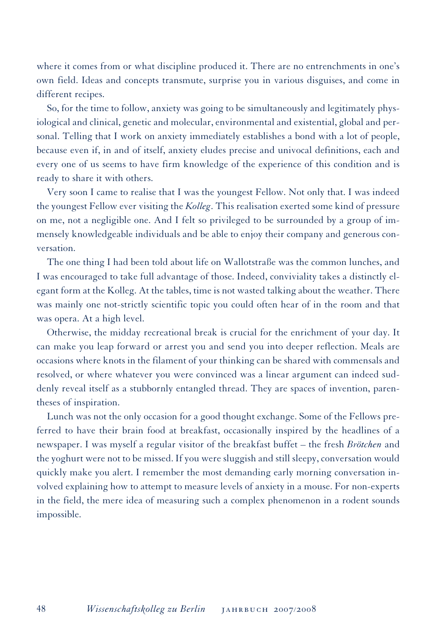where it comes from or what discipline produced it. There are no entrenchments in one's own field. Ideas and concepts transmute, surprise you in various disguises, and come in different recipes.

So, for the time to follow, anxiety was going to be simultaneously and legitimately physiological and clinical, genetic and molecular, environmental and existential, global and personal. Telling that I work on anxiety immediately establishes a bond with a lot of people, because even if, in and of itself, anxiety eludes precise and univocal definitions, each and every one of us seems to have firm knowledge of the experience of this condition and is ready to share it with others.

Very soon I came to realise that I was the youngest Fellow. Not only that. I was indeed the youngest Fellow ever visiting the *Kolleg*. This realisation exerted some kind of pressure on me, not a negligible one. And I felt so privileged to be surrounded by a group of immensely knowledgeable individuals and be able to enjoy their company and generous conversation.

The one thing I had been told about life on Wallotstraße was the common lunches, and I was encouraged to take full advantage of those. Indeed, conviviality takes a distinctly elegant form at the Kolleg. At the tables, time is not wasted talking about the weather. There was mainly one not-strictly scientific topic you could often hear of in the room and that was opera. At a high level.

Otherwise, the midday recreational break is crucial for the enrichment of your day. It can make you leap forward or arrest you and send you into deeper reflection. Meals are occasions where knots in the filament of your thinking can be shared with commensals and resolved, or where whatever you were convinced was a linear argument can indeed suddenly reveal itself as a stubbornly entangled thread. They are spaces of invention, parentheses of inspiration.

Lunch was not the only occasion for a good thought exchange. Some of the Fellows preferred to have their brain food at breakfast, occasionally inspired by the headlines of a newspaper. I was myself a regular visitor of the breakfast buffet – the fresh *Brötchen* and the yoghurt were not to be missed. If you were sluggish and still sleepy, conversation would quickly make you alert. I remember the most demanding early morning conversation involved explaining how to attempt to measure levels of anxiety in a mouse. For non-experts in the field, the mere idea of measuring such a complex phenomenon in a rodent sounds impossible.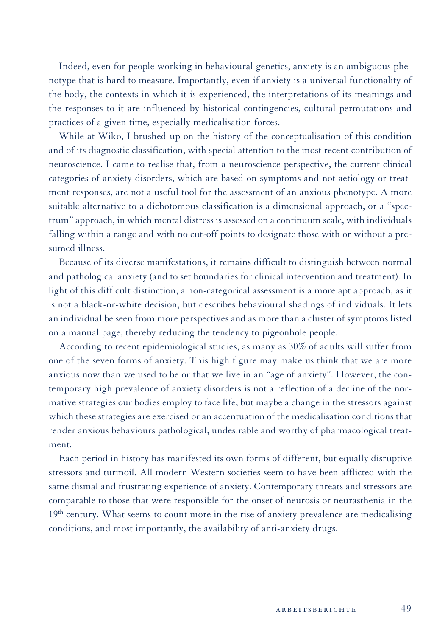Indeed, even for people working in behavioural genetics, anxiety is an ambiguous phenotype that is hard to measure. Importantly, even if anxiety is a universal functionality of the body, the contexts in which it is experienced, the interpretations of its meanings and the responses to it are influenced by historical contingencies, cultural permutations and practices of a given time, especially medicalisation forces.

While at Wiko, I brushed up on the history of the conceptualisation of this condition and of its diagnostic classification, with special attention to the most recent contribution of neuroscience. I came to realise that, from a neuroscience perspective, the current clinical categories of anxiety disorders, which are based on symptoms and not aetiology or treatment responses, are not a useful tool for the assessment of an anxious phenotype. A more suitable alternative to a dichotomous classification is a dimensional approach, or a "spectrum" approach, in which mental distress is assessed on a continuum scale, with individuals falling within a range and with no cut-off points to designate those with or without a presumed illness.

Because of its diverse manifestations, it remains difficult to distinguish between normal and pathological anxiety (and to set boundaries for clinical intervention and treatment). In light of this difficult distinction, a non-categorical assessment is a more apt approach, as it is not a black-or-white decision, but describes behavioural shadings of individuals. It lets an individual be seen from more perspectives and as more than a cluster of symptoms listed on a manual page, thereby reducing the tendency to pigeonhole people.

According to recent epidemiological studies, as many as 30% of adults will suffer from one of the seven forms of anxiety. This high figure may make us think that we are more anxious now than we used to be or that we live in an "age of anxiety". However, the contemporary high prevalence of anxiety disorders is not a reflection of a decline of the normative strategies our bodies employ to face life, but maybe a change in the stressors against which these strategies are exercised or an accentuation of the medicalisation conditions that render anxious behaviours pathological, undesirable and worthy of pharmacological treatment.

Each period in history has manifested its own forms of different, but equally disruptive stressors and turmoil. All modern Western societies seem to have been afflicted with the same dismal and frustrating experience of anxiety. Contemporary threats and stressors are comparable to those that were responsible for the onset of neurosis or neurasthenia in the  $19<sup>th</sup>$  century. What seems to count more in the rise of anxiety prevalence are medicalising conditions, and most importantly, the availability of anti-anxiety drugs.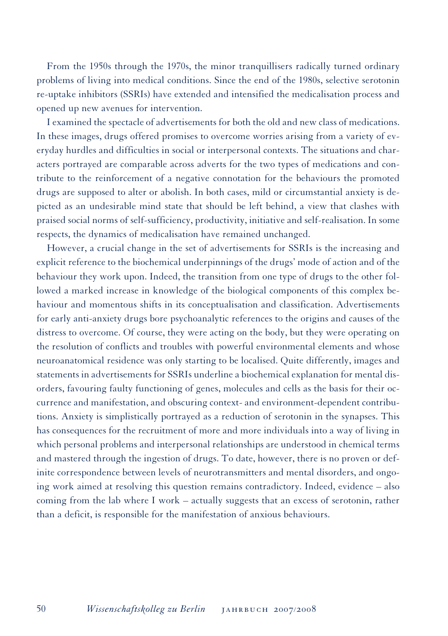From the 1950s through the 1970s, the minor tranquillisers radically turned ordinary problems of living into medical conditions. Since the end of the 1980s, selective serotonin re-uptake inhibitors (SSRIs) have extended and intensified the medicalisation process and opened up new avenues for intervention.

I examined the spectacle of advertisements for both the old and new class of medications. In these images, drugs offered promises to overcome worries arising from a variety of everyday hurdles and difficulties in social or interpersonal contexts. The situations and characters portrayed are comparable across adverts for the two types of medications and contribute to the reinforcement of a negative connotation for the behaviours the promoted drugs are supposed to alter or abolish. In both cases, mild or circumstantial anxiety is depicted as an undesirable mind state that should be left behind, a view that clashes with praised social norms of self-sufficiency, productivity, initiative and self-realisation. In some respects, the dynamics of medicalisation have remained unchanged.

However, a crucial change in the set of advertisements for SSRIs is the increasing and explicit reference to the biochemical underpinnings of the drugs' mode of action and of the behaviour they work upon. Indeed, the transition from one type of drugs to the other followed a marked increase in knowledge of the biological components of this complex behaviour and momentous shifts in its conceptualisation and classification. Advertisements for early anti-anxiety drugs bore psychoanalytic references to the origins and causes of the distress to overcome. Of course, they were acting on the body, but they were operating on the resolution of conflicts and troubles with powerful environmental elements and whose neuroanatomical residence was only starting to be localised. Quite differently, images and statements in advertisements for SSRIs underline a biochemical explanation for mental disorders, favouring faulty functioning of genes, molecules and cells as the basis for their occurrence and manifestation, and obscuring context- and environment-dependent contributions. Anxiety is simplistically portrayed as a reduction of serotonin in the synapses. This has consequences for the recruitment of more and more individuals into a way of living in which personal problems and interpersonal relationships are understood in chemical terms and mastered through the ingestion of drugs. To date, however, there is no proven or definite correspondence between levels of neurotransmitters and mental disorders, and ongoing work aimed at resolving this question remains contradictory. Indeed, evidence – also coming from the lab where I work – actually suggests that an excess of serotonin, rather than a deficit, is responsible for the manifestation of anxious behaviours.